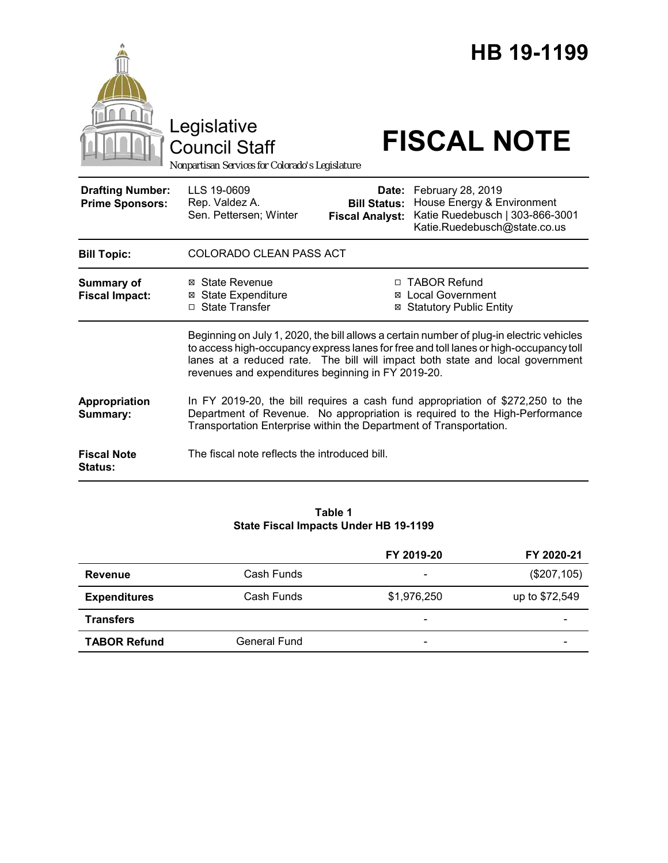|                                                   |                                                                                                                                                                                                                                                                                                                          |                                               | HB 19-1199                                                                                                               |
|---------------------------------------------------|--------------------------------------------------------------------------------------------------------------------------------------------------------------------------------------------------------------------------------------------------------------------------------------------------------------------------|-----------------------------------------------|--------------------------------------------------------------------------------------------------------------------------|
|                                                   | Legislative<br><b>Council Staff</b><br>Nonpartisan Services for Colorado's Legislature                                                                                                                                                                                                                                   |                                               | <b>FISCAL NOTE</b>                                                                                                       |
| <b>Drafting Number:</b><br><b>Prime Sponsors:</b> | LLS 19-0609<br>Rep. Valdez A.<br>Sen. Pettersen; Winter                                                                                                                                                                                                                                                                  | <b>Bill Status:</b><br><b>Fiscal Analyst:</b> | Date: February 28, 2019<br>House Energy & Environment<br>Katie Ruedebusch   303-866-3001<br>Katie.Ruedebusch@state.co.us |
| <b>Bill Topic:</b>                                | COLORADO CLEAN PASS ACT                                                                                                                                                                                                                                                                                                  |                                               |                                                                                                                          |
| <b>Summary of</b><br><b>Fiscal Impact:</b>        | ⊠ State Revenue<br>⊠ State Expenditure<br>□ State Transfer                                                                                                                                                                                                                                                               |                                               | □ TABOR Refund<br><b>⊠</b> Local Government<br><b>⊠ Statutory Public Entity</b>                                          |
|                                                   | Beginning on July 1, 2020, the bill allows a certain number of plug-in electric vehicles<br>to access high-occupancy express lanes for free and toll lanes or high-occupancy toll<br>lanes at a reduced rate. The bill will impact both state and local government<br>revenues and expenditures beginning in FY 2019-20. |                                               |                                                                                                                          |
| Appropriation<br>Summary:                         | In FY 2019-20, the bill requires a cash fund appropriation of \$272,250 to the<br>Department of Revenue. No appropriation is required to the High-Performance<br>Transportation Enterprise within the Department of Transportation.                                                                                      |                                               |                                                                                                                          |
| <b>Fiscal Note</b><br><b>Status:</b>              | The fiscal note reflects the introduced bill.                                                                                                                                                                                                                                                                            |                                               |                                                                                                                          |

## **Table 1 State Fiscal Impacts Under HB 19-1199**

|                     |                     | FY 2019-20                   | FY 2020-21               |
|---------------------|---------------------|------------------------------|--------------------------|
| Revenue             | Cash Funds          | $\qquad \qquad \blacksquare$ | (\$207,105)              |
| <b>Expenditures</b> | Cash Funds          | \$1,976,250                  | up to \$72,549           |
| <b>Transfers</b>    |                     | $\overline{\phantom{a}}$     |                          |
| <b>TABOR Refund</b> | <b>General Fund</b> | $\overline{\phantom{0}}$     | $\overline{\phantom{a}}$ |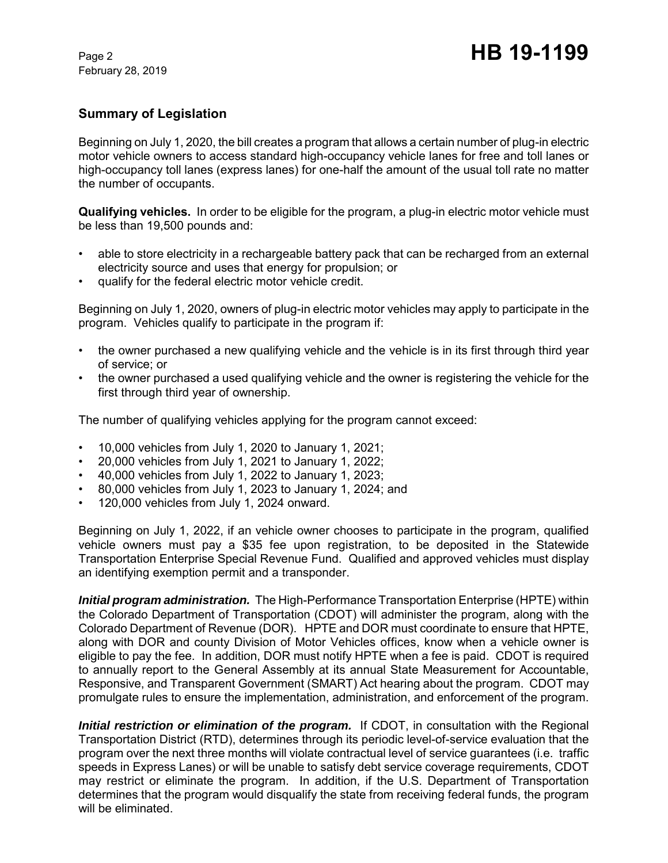# **Summary of Legislation**

Beginning on July 1, 2020, the bill creates a program that allows a certain number of plug-in electric motor vehicle owners to access standard high-occupancy vehicle lanes for free and toll lanes or high-occupancy toll lanes (express lanes) for one-half the amount of the usual toll rate no matter the number of occupants.

**Qualifying vehicles.** In order to be eligible for the program, a plug-in electric motor vehicle must be less than 19,500 pounds and:

- able to store electricity in a rechargeable battery pack that can be recharged from an external electricity source and uses that energy for propulsion; or
- qualify for the federal electric motor vehicle credit.

Beginning on July 1, 2020, owners of plug-in electric motor vehicles may apply to participate in the program. Vehicles qualify to participate in the program if:

- the owner purchased a new qualifying vehicle and the vehicle is in its first through third year of service; or
- the owner purchased a used qualifying vehicle and the owner is registering the vehicle for the first through third year of ownership.

The number of qualifying vehicles applying for the program cannot exceed:

- 10,000 vehicles from July 1, 2020 to January 1, 2021;
- 20,000 vehicles from July 1, 2021 to January 1, 2022;
- 40,000 vehicles from July 1, 2022 to January 1, 2023;
- 80,000 vehicles from July 1, 2023 to January 1, 2024; and
- 120,000 vehicles from July 1, 2024 onward.

Beginning on July 1, 2022, if an vehicle owner chooses to participate in the program, qualified vehicle owners must pay a \$35 fee upon registration, to be deposited in the Statewide Transportation Enterprise Special Revenue Fund. Qualified and approved vehicles must display an identifying exemption permit and a transponder.

*Initial program administration.* The High-Performance Transportation Enterprise (HPTE) within the Colorado Department of Transportation (CDOT) will administer the program, along with the Colorado Department of Revenue (DOR). HPTE and DOR must coordinate to ensure that HPTE, along with DOR and county Division of Motor Vehicles offices, know when a vehicle owner is eligible to pay the fee. In addition, DOR must notify HPTE when a fee is paid. CDOT is required to annually report to the General Assembly at its annual State Measurement for Accountable, Responsive, and Transparent Government (SMART) Act hearing about the program. CDOT may promulgate rules to ensure the implementation, administration, and enforcement of the program.

*Initial restriction or elimination of the program. If CDOT, in consultation with the Regional* Transportation District (RTD), determines through its periodic level-of-service evaluation that the program over the next three months will violate contractual level of service guarantees (i.e. traffic speeds in Express Lanes) or will be unable to satisfy debt service coverage requirements, CDOT may restrict or eliminate the program. In addition, if the U.S. Department of Transportation determines that the program would disqualify the state from receiving federal funds, the program will be eliminated.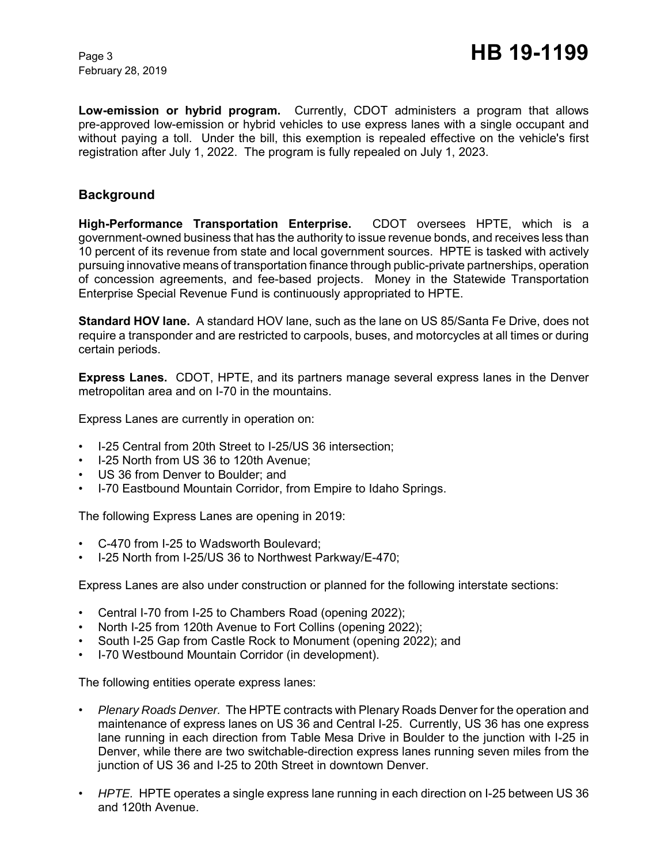**Low-emission or hybrid program.** Currently, CDOT administers a program that allows pre-approved low-emission or hybrid vehicles to use express lanes with a single occupant and without paying a toll. Under the bill, this exemption is repealed effective on the vehicle's first registration after July 1, 2022. The program is fully repealed on July 1, 2023.

## **Background**

**High-Performance Transportation Enterprise.** CDOT oversees HPTE, which is a government-owned business that has the authority to issue revenue bonds, and receives less than 10 percent of its revenue from state and local government sources. HPTE is tasked with actively pursuing innovative means of transportation finance through public-private partnerships, operation of concession agreements, and fee-based projects. Money in the Statewide Transportation Enterprise Special Revenue Fund is continuously appropriated to HPTE.

**Standard HOV lane.** A standard HOV lane, such as the lane on US 85/Santa Fe Drive, does not require a transponder and are restricted to carpools, buses, and motorcycles at all times or during certain periods.

**Express Lanes.** CDOT, HPTE, and its partners manage several express lanes in the Denver metropolitan area and on I-70 in the mountains.

Express Lanes are currently in operation on:

- I-25 Central from 20th Street to I-25/US 36 intersection;
- I-25 North from US 36 to 120th Avenue;
- US 36 from Denver to Boulder; and
- I-70 Eastbound Mountain Corridor, from Empire to Idaho Springs.

The following Express Lanes are opening in 2019:

- C-470 from I-25 to Wadsworth Boulevard;
- I-25 North from I-25/US 36 to Northwest Parkway/E-470;

Express Lanes are also under construction or planned for the following interstate sections:

- Central I-70 from I-25 to Chambers Road (opening 2022);
- North I-25 from 120th Avenue to Fort Collins (opening 2022);
- South I-25 Gap from Castle Rock to Monument (opening 2022); and
- I-70 Westbound Mountain Corridor (in development).

The following entities operate express lanes:

- *Plenary Roads Denver.* The HPTE contracts with Plenary Roads Denver for the operation and maintenance of express lanes on US 36 and Central I-25. Currently, US 36 has one express lane running in each direction from Table Mesa Drive in Boulder to the junction with I-25 in Denver, while there are two switchable-direction express lanes running seven miles from the junction of US 36 and I-25 to 20th Street in downtown Denver.
- *HPTE.* HPTE operates a single express lane running in each direction on I-25 between US 36 and 120th Avenue.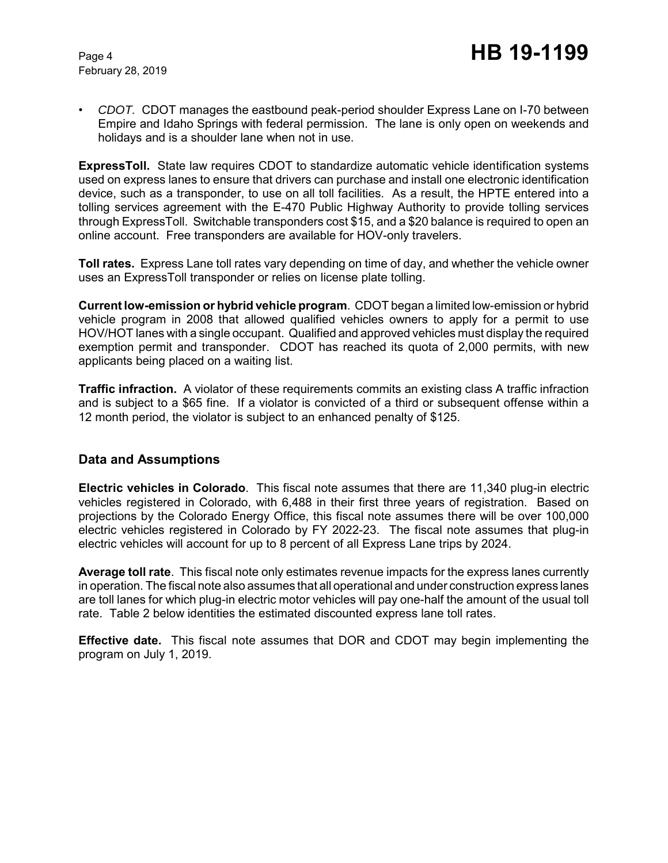• *CDOT.* CDOT manages the eastbound peak-period shoulder Express Lane on I-70 between Empire and Idaho Springs with federal permission. The lane is only open on weekends and holidays and is a shoulder lane when not in use.

**ExpressToll.** State law requires CDOT to standardize automatic vehicle identification systems used on express lanes to ensure that drivers can purchase and install one electronic identification device, such as a transponder, to use on all toll facilities. As a result, the HPTE entered into a tolling services agreement with the E-470 Public Highway Authority to provide tolling services through ExpressToll. Switchable transponders cost \$15, and a \$20 balance is required to open an online account. Free transponders are available for HOV-only travelers.

**Toll rates.** Express Lane toll rates vary depending on time of day, and whether the vehicle owner uses an ExpressToll transponder or relies on license plate tolling.

**Current low-emission or hybrid vehicle program**.CDOT began a limited low-emission or hybrid vehicle program in 2008 that allowed qualified vehicles owners to apply for a permit to use HOV/HOT lanes with a single occupant. Qualified and approved vehicles must display the required exemption permit and transponder. CDOT has reached its quota of 2,000 permits, with new applicants being placed on a waiting list.

**Traffic infraction.** A violator of these requirements commits an existing class A traffic infraction and is subject to a \$65 fine. If a violator is convicted of a third or subsequent offense within a 12 month period, the violator is subject to an enhanced penalty of \$125.

## **Data and Assumptions**

**Electric vehicles in Colorado**. This fiscal note assumes that there are 11,340 plug-in electric vehicles registered in Colorado, with 6,488 in their first three years of registration. Based on projections by the Colorado Energy Office, this fiscal note assumes there will be over 100,000 electric vehicles registered in Colorado by FY 2022-23. The fiscal note assumes that plug-in electric vehicles will account for up to 8 percent of all Express Lane trips by 2024.

**Average toll rate**. This fiscal note only estimates revenue impacts for the express lanes currently in operation. The fiscal note also assumes that all operational and under construction express lanes are toll lanes for which plug-in electric motor vehicles will pay one-half the amount of the usual toll rate. Table 2 below identities the estimated discounted express lane toll rates.

**Effective date.** This fiscal note assumes that DOR and CDOT may begin implementing the program on July 1, 2019.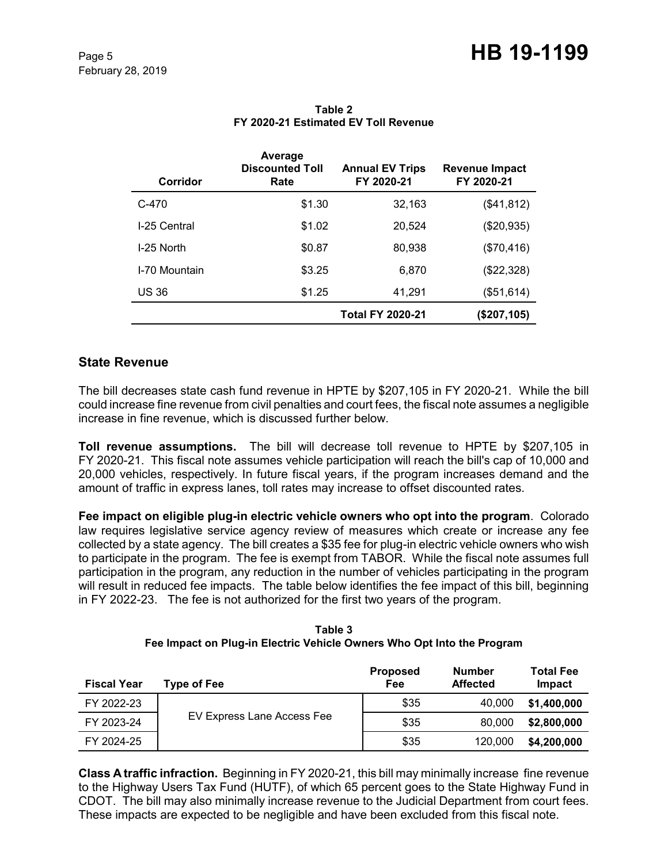| Corridor      | Average<br><b>Discounted Toll</b><br>Rate | <b>Annual EV Trips</b><br>FY 2020-21 | <b>Revenue Impact</b><br>FY 2020-21 |
|---------------|-------------------------------------------|--------------------------------------|-------------------------------------|
| $C-470$       | \$1.30                                    | 32,163                               | (\$41,812)                          |
| I-25 Central  | \$1.02                                    | 20,524                               | (\$20,935)                          |
| I-25 North    | \$0.87                                    | 80,938                               | (\$70,416)                          |
| I-70 Mountain | \$3.25                                    | 6,870                                | (\$22,328)                          |
| <b>US 36</b>  | \$1.25                                    | 41,291                               | (\$51,614)                          |
|               |                                           | <b>Total FY 2020-21</b>              | (\$207, 105)                        |

### **Table 2 FY 2020-21 Estimated EV Toll Revenue**

## **State Revenue**

The bill decreases state cash fund revenue in HPTE by \$207,105 in FY 2020-21. While the bill could increase fine revenue from civil penalties and court fees, the fiscal note assumes a negligible increase in fine revenue, which is discussed further below.

**Toll revenue assumptions.** The bill will decrease toll revenue to HPTE by \$207,105 in FY 2020-21. This fiscal note assumes vehicle participation will reach the bill's cap of 10,000 and 20,000 vehicles, respectively. In future fiscal years, if the program increases demand and the amount of traffic in express lanes, toll rates may increase to offset discounted rates.

**Fee impact on eligible plug-in electric vehicle owners who opt into the program**. Colorado law requires legislative service agency review of measures which create or increase any fee collected by a state agency. The bill creates a \$35 fee for plug-in electric vehicle owners who wish to participate in the program. The fee is exempt from TABOR. While the fiscal note assumes full participation in the program, any reduction in the number of vehicles participating in the program will result in reduced fee impacts. The table below identifies the fee impact of this bill, beginning in FY 2022-23. The fee is not authorized for the first two years of the program.

**Table 3 Fee Impact on Plug-in Electric Vehicle Owners Who Opt Into the Program**

| <b>Fiscal Year</b> | Type of Fee                | <b>Proposed</b><br>Fee | <b>Number</b><br><b>Affected</b> | <b>Total Fee</b><br>Impact |
|--------------------|----------------------------|------------------------|----------------------------------|----------------------------|
| FY 2022-23         |                            | \$35                   | 40,000                           | \$1,400,000                |
| FY 2023-24         | EV Express Lane Access Fee | \$35                   | 80,000                           | \$2,800,000                |
| FY 2024-25         |                            | \$35                   | 120,000                          | \$4,200,000                |

**Class A traffic infraction.** Beginning in FY 2020-21, this bill may minimally increase fine revenue to the Highway Users Tax Fund (HUTF), of which 65 percent goes to the State Highway Fund in CDOT. The bill may also minimally increase revenue to the Judicial Department from court fees. These impacts are expected to be negligible and have been excluded from this fiscal note.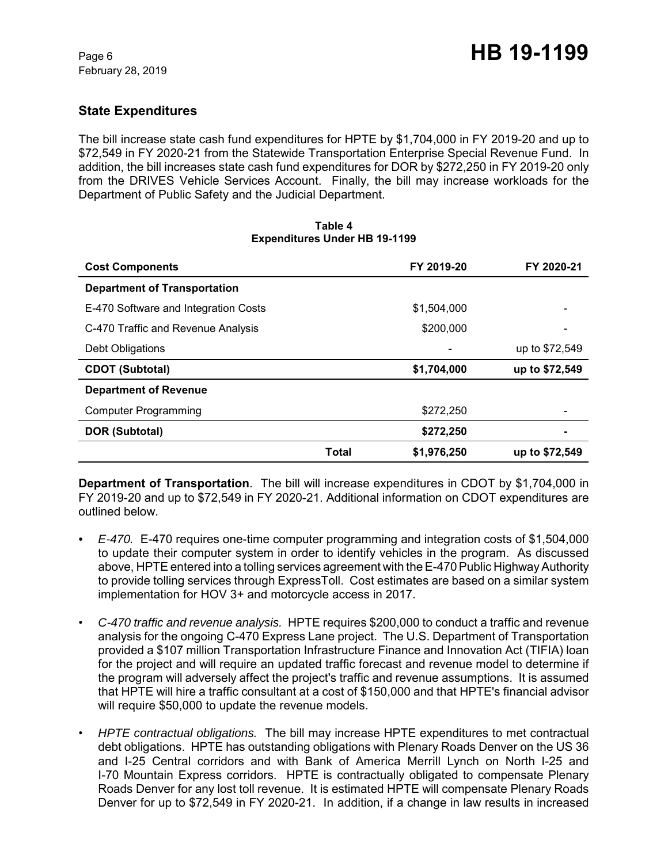# **State Expenditures**

The bill increase state cash fund expenditures for HPTE by \$1,704,000 in FY 2019-20 and up to \$72,549 in FY 2020-21 from the Statewide Transportation Enterprise Special Revenue Fund. In addition, the bill increases state cash fund expenditures for DOR by \$272,250 in FY 2019-20 only from the DRIVES Vehicle Services Account. Finally, the bill may increase workloads for the Department of Public Safety and the Judicial Department.

#### **Table 4 Expenditures Under HB 19-1199**

| <b>Cost Components</b>               |       | FY 2019-20  | FY 2020-21     |
|--------------------------------------|-------|-------------|----------------|
| <b>Department of Transportation</b>  |       |             |                |
| E-470 Software and Integration Costs |       | \$1,504,000 |                |
| C-470 Traffic and Revenue Analysis   |       | \$200,000   |                |
| Debt Obligations                     |       |             | up to \$72,549 |
| <b>CDOT (Subtotal)</b>               |       | \$1,704,000 | up to \$72,549 |
| <b>Department of Revenue</b>         |       |             |                |
| <b>Computer Programming</b>          |       | \$272,250   |                |
| DOR (Subtotal)                       |       | \$272,250   |                |
|                                      | Total | \$1,976,250 | up to \$72,549 |

**Department of Transportation**. The bill will increase expenditures in CDOT by \$1,704,000 in FY 2019-20 and up to \$72,549 in FY 2020-21. Additional information on CDOT expenditures are outlined below.

- *E-470.* E-470 requires one-time computer programming and integration costs of \$1,504,000 to update their computer system in order to identify vehicles in the program. As discussed above, HPTE entered into a tolling services agreement with the E-470 Public Highway Authority to provide tolling services through ExpressToll. Cost estimates are based on a similar system implementation for HOV 3+ and motorcycle access in 2017.
- *C-470 traffic and revenue analysis.* HPTE requires \$200,000 to conduct a traffic and revenue analysis for the ongoing C-470 Express Lane project. The U.S. Department of Transportation provided a \$107 million Transportation Infrastructure Finance and Innovation Act (TIFIA) loan for the project and will require an updated traffic forecast and revenue model to determine if the program will adversely affect the project's traffic and revenue assumptions. It is assumed that HPTE will hire a traffic consultant at a cost of \$150,000 and that HPTE's financial advisor will require \$50,000 to update the revenue models.
- *HPTE contractual obligations.* The bill may increase HPTE expenditures to met contractual debt obligations. HPTE has outstanding obligations with Plenary Roads Denver on the US 36 and I-25 Central corridors and with Bank of America Merrill Lynch on North I-25 and I-70 Mountain Express corridors. HPTE is contractually obligated to compensate Plenary Roads Denver for any lost toll revenue. It is estimated HPTE will compensate Plenary Roads Denver for up to \$72,549 in FY 2020-21. In addition, if a change in law results in increased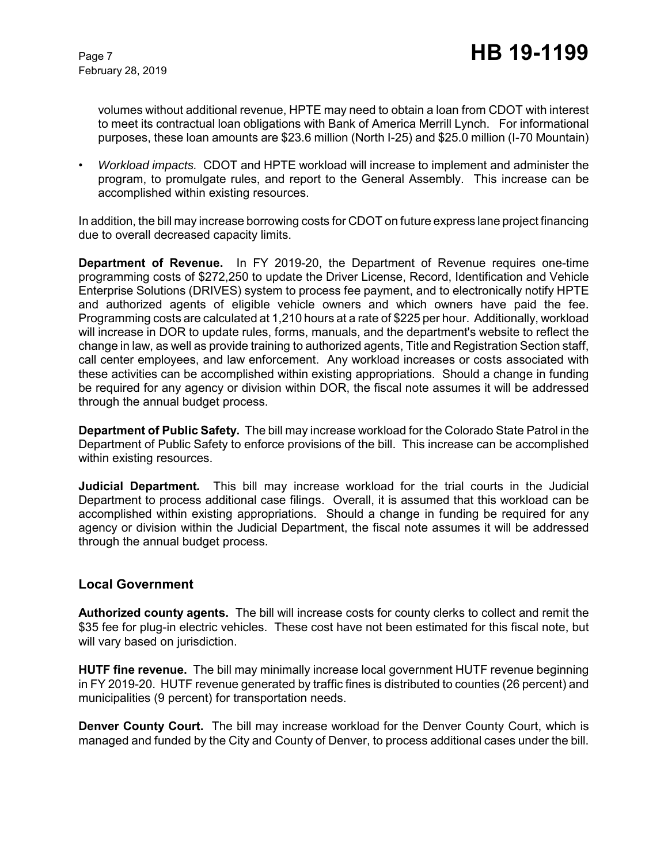volumes without additional revenue, HPTE may need to obtain a loan from CDOT with interest to meet its contractual loan obligations with Bank of America Merrill Lynch. For informational purposes, these loan amounts are \$23.6 million (North I-25) and \$25.0 million (I-70 Mountain)

• *Workload impacts.* CDOT and HPTE workload will increase to implement and administer the program, to promulgate rules, and report to the General Assembly. This increase can be accomplished within existing resources.

In addition, the bill may increase borrowing costs for CDOT on future express lane project financing due to overall decreased capacity limits.

**Department of Revenue.** In FY 2019-20, the Department of Revenue requires one-time programming costs of \$272,250 to update the Driver License, Record, Identification and Vehicle Enterprise Solutions (DRIVES) system to process fee payment, and to electronically notify HPTE and authorized agents of eligible vehicle owners and which owners have paid the fee. Programming costs are calculated at 1,210 hours at a rate of \$225 per hour. Additionally, workload will increase in DOR to update rules, forms, manuals, and the department's website to reflect the change in law, as well as provide training to authorized agents, Title and Registration Section staff, call center employees, and law enforcement. Any workload increases or costs associated with these activities can be accomplished within existing appropriations. Should a change in funding be required for any agency or division within DOR, the fiscal note assumes it will be addressed through the annual budget process.

**Department of Public Safety.** The bill may increase workload for the Colorado State Patrol in the Department of Public Safety to enforce provisions of the bill. This increase can be accomplished within existing resources.

**Judicial Department***.* This bill may increase workload for the trial courts in the Judicial Department to process additional case filings. Overall, it is assumed that this workload can be accomplished within existing appropriations. Should a change in funding be required for any agency or division within the Judicial Department, the fiscal note assumes it will be addressed through the annual budget process.

## **Local Government**

**Authorized county agents.** The bill will increase costs for county clerks to collect and remit the \$35 fee for plug-in electric vehicles. These cost have not been estimated for this fiscal note, but will vary based on jurisdiction.

**HUTF fine revenue.** The bill may minimally increase local government HUTF revenue beginning in FY 2019-20. HUTF revenue generated by traffic fines is distributed to counties (26 percent) and municipalities (9 percent) for transportation needs.

**Denver County Court.** The bill may increase workload for the Denver County Court, which is managed and funded by the City and County of Denver, to process additional cases under the bill.